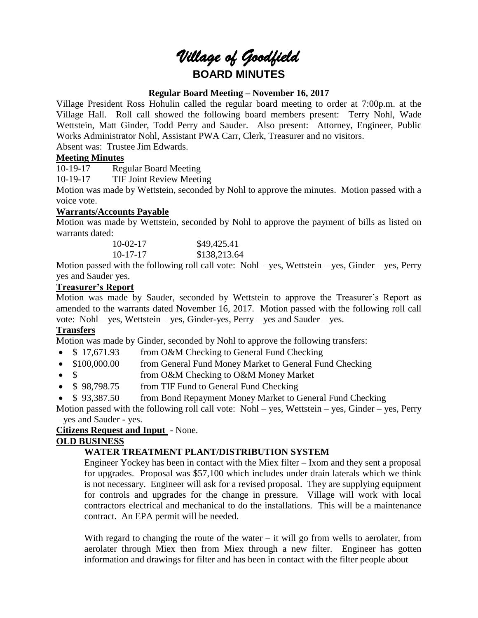# *Village of Goodfield* **BOARD MINUTES**

## **Regular Board Meeting – November 16, 2017**

Village President Ross Hohulin called the regular board meeting to order at 7:00p.m. at the Village Hall. Roll call showed the following board members present: Terry Nohl, Wade Wettstein, Matt Ginder, Todd Perry and Sauder. Also present: Attorney, Engineer, Public Works Administrator Nohl, Assistant PWA Carr, Clerk, Treasurer and no visitors. Absent was: Trustee Jim Edwards.

# **Meeting Minutes**

10-19-17 Regular Board Meeting

10-19-17 TIF Joint Review Meeting

Motion was made by Wettstein, seconded by Nohl to approve the minutes. Motion passed with a voice vote.

# **Warrants/Accounts Payable**

Motion was made by Wettstein, seconded by Nohl to approve the payment of bills as listed on warrants dated:

| $10-02-17$     | \$49,425.41  |
|----------------|--------------|
| $10 - 17 - 17$ | \$138,213.64 |

Motion passed with the following roll call vote: Nohl – yes, Wettstein – yes, Ginder – yes, Perry yes and Sauder yes.

# **Treasurer's Report**

Motion was made by Sauder, seconded by Wettstein to approve the Treasurer's Report as amended to the warrants dated November 16, 2017. Motion passed with the following roll call vote: Nohl – yes, Wettstein – yes, Ginder-yes, Perry – yes and Sauder – yes.

# **Transfers**

Motion was made by Ginder, seconded by Nohl to approve the following transfers:

- \$17,671.93 from O&M Checking to General Fund Checking
- \$100,000.00 from General Fund Money Market to General Fund Checking
- \$ from O&M Checking to O&M Money Market
- \$98,798.75 from TIF Fund to General Fund Checking
- \$93,387.50 from Bond Repayment Money Market to General Fund Checking

Motion passed with the following roll call vote: Nohl – yes, Wettstein – yes, Ginder – yes, Perry – yes and Sauder - yes.

## **Citizens Request and Input** - None.

# **OLD BUSINESS**

# **WATER TREATMENT PLANT/DISTRIBUTION SYSTEM**

Engineer Yockey has been in contact with the Miex filter – Ixom and they sent a proposal for upgrades. Proposal was \$57,100 which includes under drain laterals which we think is not necessary. Engineer will ask for a revised proposal. They are supplying equipment for controls and upgrades for the change in pressure. Village will work with local contractors electrical and mechanical to do the installations. This will be a maintenance contract. An EPA permit will be needed.

With regard to changing the route of the water  $-$  it will go from wells to aerolater, from aerolater through Miex then from Miex through a new filter. Engineer has gotten information and drawings for filter and has been in contact with the filter people about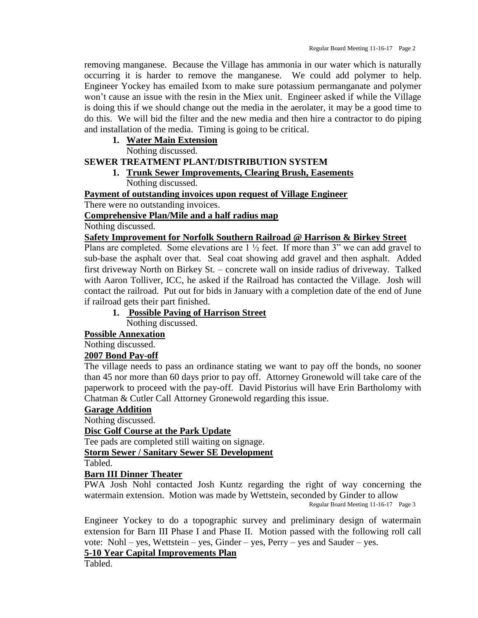removing manganese. Because the Village has ammonia in our water which is naturally occurring it is harder to remove the manganese. We could add polymer to help. Engineer Yockey has emailed Ixom to make sure potassium permanganate and polymer won't cause an issue with the resin in the Miex unit. Engineer asked if while the Village is doing this if we should change out the media in the aerolater, it may be a good time to do this. We will bid the filter and the new media and then hire a contractor to do piping and installation of the media. Timing is going to be critical.

## **1. Water Main Extension**

Nothing discussed.

## **SEWER TREATMENT PLANT/DISTRIBUTION SYSTEM**

**1. Trunk Sewer Improvements, Clearing Brush, Easements** Nothing discussed.

**Payment of outstanding invoices upon request of Village Engineer**

There were no outstanding invoices.

**Comprehensive Plan/Mile and a half radius map**

Nothing discussed.

#### **Safety Improvement for Norfolk Southern Railroad @ Harrison & Birkey Street**

Plans are completed. Some elevations are  $1\frac{1}{2}$  feet. If more than 3" we can add gravel to sub-base the asphalt over that. Seal coat showing add gravel and then asphalt. Added first driveway North on Birkey St. – concrete wall on inside radius of driveway. Talked with Aaron Tolliver, ICC, he asked if the Railroad has contacted the Village. Josh will contact the railroad. Put out for bids in January with a completion date of the end of June if railroad gets their part finished.

## **1. Possible Paving of Harrison Street**

Nothing discussed.

**Possible Annexation**

Nothing discussed.

#### **2007 Bond Pay-off**

The village needs to pass an ordinance stating we want to pay off the bonds, no sooner than 45 nor more than 60 days prior to pay off. Attorney Gronewold will take care of the paperwork to proceed with the pay-off. David Pistorius will have Erin Bartholomy with Chatman & Cutler Call Attorney Gronewold regarding this issue.

#### **Garage Addition**

Nothing discussed.

#### **Disc Golf Course at the Park Update**

Tee pads are completed still waiting on signage.

## **Storm Sewer / Sanitary Sewer SE Development**

Tabled.

#### **Barn III Dinner Theater**

PWA Josh Nohl contacted Josh Kuntz regarding the right of way concerning the watermain extension. Motion was made by Wettstein, seconded by Ginder to allow

Regular Board Meeting 11-16-17 Page 3

Engineer Yockey to do a topographic survey and preliminary design of watermain extension for Barn III Phase I and Phase II. Motion passed with the following roll call vote: Nohl – yes, Wettstein – yes, Ginder – yes, Perry – yes and Sauder – yes.

# **5-10 Year Capital Improvements Plan**

Tabled.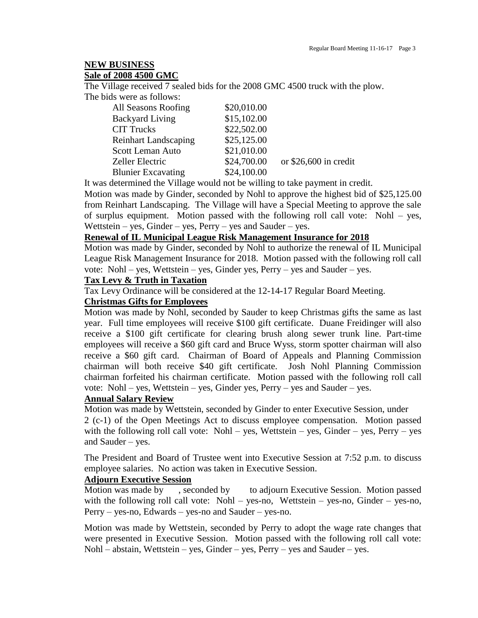# **NEW BUSINESS**

#### **Sale of 2008 4500 GMC**

The Village received 7 sealed bids for the 2008 GMC 4500 truck with the plow. The bids were as follows:

| All Seasons Roofing         | \$20,010.00 |                        |
|-----------------------------|-------------|------------------------|
| <b>Backyard Living</b>      | \$15,102.00 |                        |
| <b>CIT Trucks</b>           | \$22,502.00 |                        |
| <b>Reinhart Landscaping</b> | \$25,125.00 |                        |
| <b>Scott Leman Auto</b>     | \$21,010.00 |                        |
| <b>Zeller Electric</b>      | \$24,700.00 | or $$26,600$ in credit |
| <b>Blunier Excavating</b>   | \$24,100.00 |                        |

It was determined the Village would not be willing to take payment in credit.

Motion was made by Ginder, seconded by Nohl to approve the highest bid of \$25,125.00 from Reinhart Landscaping. The Village will have a Special Meeting to approve the sale of surplus equipment. Motion passed with the following roll call vote: Nohl – yes, Wettstein – yes, Ginder – yes, Perry – yes and Sauder – yes.

## **Renewal of IL Municipal League Risk Management Insurance for 2018**

Motion was made by Ginder, seconded by Nohl to authorize the renewal of IL Municipal League Risk Management Insurance for 2018. Motion passed with the following roll call vote: Nohl – yes, Wettstein – yes, Ginder yes, Perry – yes and Sauder – yes.

## **Tax Levy & Truth in Taxation**

Tax Levy Ordinance will be considered at the 12-14-17 Regular Board Meeting.

# **Christmas Gifts for Employees**

Motion was made by Nohl, seconded by Sauder to keep Christmas gifts the same as last year. Full time employees will receive \$100 gift certificate. Duane Freidinger will also receive a \$100 gift certificate for clearing brush along sewer trunk line. Part-time employees will receive a \$60 gift card and Bruce Wyss, storm spotter chairman will also receive a \$60 gift card. Chairman of Board of Appeals and Planning Commission chairman will both receive \$40 gift certificate. Josh Nohl Planning Commission chairman forfeited his chairman certificate. Motion passed with the following roll call vote: Nohl – yes, Wettstein – yes, Ginder yes, Perry – yes and Sauder – yes.

# **Annual Salary Review**

Motion was made by Wettstein, seconded by Ginder to enter Executive Session, under 2 (c-1) of the Open Meetings Act to discuss employee compensation. Motion passed with the following roll call vote: Nohl – yes, Wettstein – yes, Ginder – yes, Perry – yes and Sauder – yes.

The President and Board of Trustee went into Executive Session at 7:52 p.m. to discuss employee salaries. No action was taken in Executive Session.

#### **Adjourn Executive Session**

Motion was made by , seconded by to adjourn Executive Session. Motion passed with the following roll call vote: Nohl – yes-no, Wettstein – yes-no, Ginder – yes-no, Perry – yes-no, Edwards – yes-no and Sauder – yes-no.

Motion was made by Wettstein, seconded by Perry to adopt the wage rate changes that were presented in Executive Session. Motion passed with the following roll call vote: Nohl – abstain, Wettstein – yes, Ginder – yes, Perry – yes and Sauder – yes.